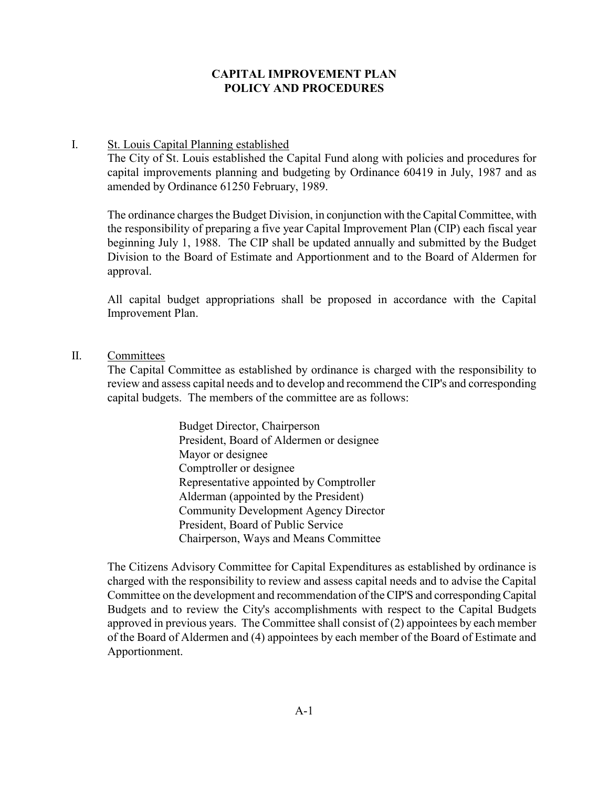#### CAPITAL IMPROVEMENT PLAN POLICY AND PROCEDURES

#### I. St. Louis Capital Planning established

The City of St. Louis established the Capital Fund along with policies and procedures for capital improvements planning and budgeting by Ordinance 60419 in July, 1987 and as amended by Ordinance 61250 February, 1989.

The ordinance charges the Budget Division, in conjunction with the Capital Committee, with the responsibility of preparing a five year Capital Improvement Plan (CIP) each fiscal year beginning July 1, 1988. The CIP shall be updated annually and submitted by the Budget Division to the Board of Estimate and Apportionment and to the Board of Aldermen for approval.

All capital budget appropriations shall be proposed in accordance with the Capital Improvement Plan.

#### II. Committees

The Capital Committee as established by ordinance is charged with the responsibility to review and assess capital needs and to develop and recommend the CIP's and corresponding capital budgets. The members of the committee are as follows:

> Budget Director, Chairperson President, Board of Aldermen or designee Mayor or designee Comptroller or designee Representative appointed by Comptroller Alderman (appointed by the President) Community Development Agency Director President, Board of Public Service Chairperson, Ways and Means Committee

The Citizens Advisory Committee for Capital Expenditures as established by ordinance is charged with the responsibility to review and assess capital needs and to advise the Capital Committee on the development and recommendation of the CIP'S and corresponding Capital Budgets and to review the City's accomplishments with respect to the Capital Budgets approved in previous years. The Committee shall consist of (2) appointees by each member of the Board of Aldermen and (4) appointees by each member of the Board of Estimate and Apportionment.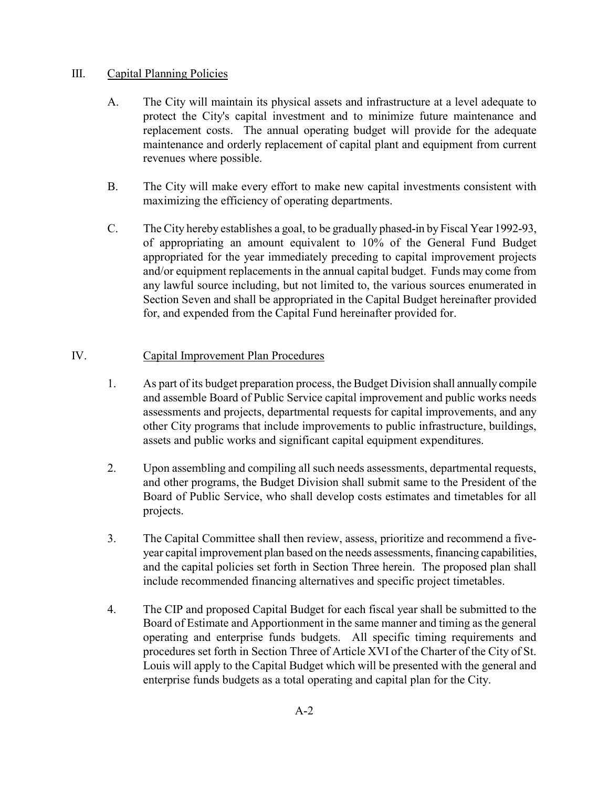## III. Capital Planning Policies

- A. The City will maintain its physical assets and infrastructure at a level adequate to protect the City's capital investment and to minimize future maintenance and replacement costs. The annual operating budget will provide for the adequate maintenance and orderly replacement of capital plant and equipment from current revenues where possible.
- B. The City will make every effort to make new capital investments consistent with maximizing the efficiency of operating departments.
- C. The City hereby establishes a goal, to be gradually phased-in by Fiscal Year 1992-93, of appropriating an amount equivalent to 10% of the General Fund Budget appropriated for the year immediately preceding to capital improvement projects and/or equipment replacements in the annual capital budget. Funds may come from any lawful source including, but not limited to, the various sources enumerated in Section Seven and shall be appropriated in the Capital Budget hereinafter provided for, and expended from the Capital Fund hereinafter provided for.

# IV. Capital Improvement Plan Procedures

- 1. As part of its budget preparation process, the Budget Division shall annually compile and assemble Board of Public Service capital improvement and public works needs assessments and projects, departmental requests for capital improvements, and any other City programs that include improvements to public infrastructure, buildings, assets and public works and significant capital equipment expenditures.
- 2. Upon assembling and compiling all such needs assessments, departmental requests, and other programs, the Budget Division shall submit same to the President of the Board of Public Service, who shall develop costs estimates and timetables for all projects.
- 3. The Capital Committee shall then review, assess, prioritize and recommend a fiveyear capital improvement plan based on the needs assessments, financing capabilities, and the capital policies set forth in Section Three herein. The proposed plan shall include recommended financing alternatives and specific project timetables.
- 4. The CIP and proposed Capital Budget for each fiscal year shall be submitted to the Board of Estimate and Apportionment in the same manner and timing as the general operating and enterprise funds budgets. All specific timing requirements and procedures set forth in Section Three of Article XVI of the Charter of the City of St. Louis will apply to the Capital Budget which will be presented with the general and enterprise funds budgets as a total operating and capital plan for the City.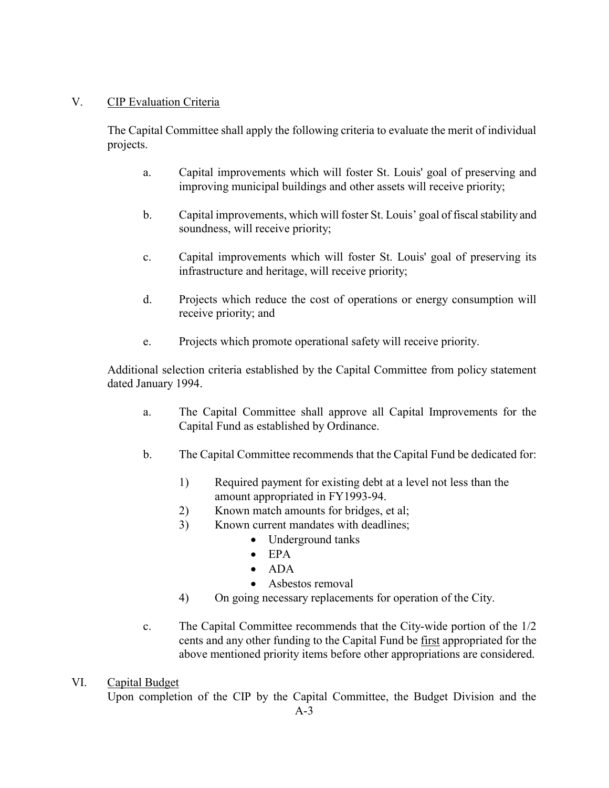# V. CIP Evaluation Criteria

The Capital Committee shall apply the following criteria to evaluate the merit of individual projects.

- a. Capital improvements which will foster St. Louis' goal of preserving and improving municipal buildings and other assets will receive priority;
- b. Capital improvements, which will foster St. Louis' goal of fiscal stability and soundness, will receive priority;
- c. Capital improvements which will foster St. Louis' goal of preserving its infrastructure and heritage, will receive priority;
- d. Projects which reduce the cost of operations or energy consumption will receive priority; and
- e. Projects which promote operational safety will receive priority.

Additional selection criteria established by the Capital Committee from policy statement dated January 1994.

- a. The Capital Committee shall approve all Capital Improvements for the Capital Fund as established by Ordinance.
- b. The Capital Committee recommends that the Capital Fund be dedicated for:
	- 1) Required payment for existing debt at a level not less than the amount appropriated in FY1993-94.
	- 2) Known match amounts for bridges, et al;
	- 3) Known current mandates with deadlines;
		- Underground tanks
		- EPA
		- $\bullet$  ADA
		- Asbestos removal
	- 4) On going necessary replacements for operation of the City.
- c. The Capital Committee recommends that the City-wide portion of the 1/2 cents and any other funding to the Capital Fund be first appropriated for the above mentioned priority items before other appropriations are considered.

# VI. Capital Budget

Upon completion of the CIP by the Capital Committee, the Budget Division and the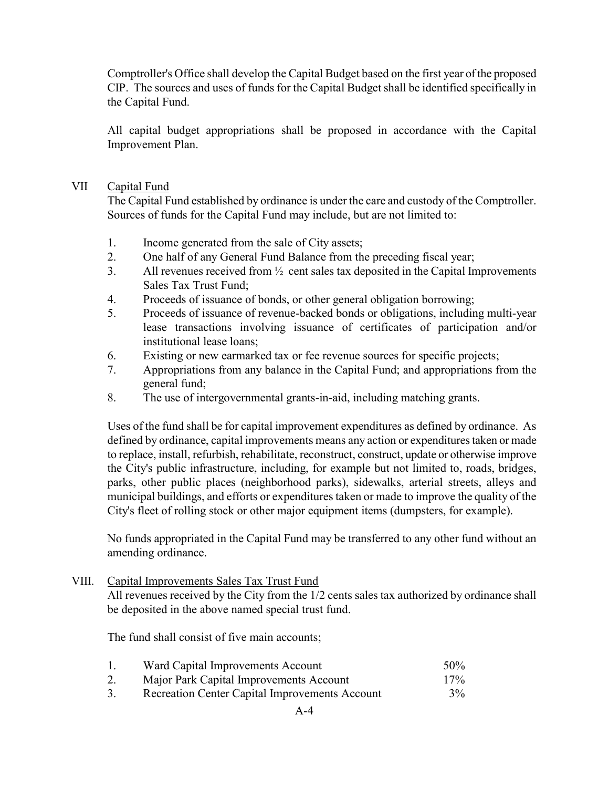Comptroller's Office shall develop the Capital Budget based on the first year of the proposed CIP. The sources and uses of funds for the Capital Budget shall be identified specifically in the Capital Fund.

All capital budget appropriations shall be proposed in accordance with the Capital Improvement Plan.

#### VII Capital Fund

The Capital Fund established by ordinance is under the care and custody of the Comptroller. Sources of funds for the Capital Fund may include, but are not limited to:

- 1. Income generated from the sale of City assets;
- 2. One half of any General Fund Balance from the preceding fiscal year;
- 3. All revenues received from ½ cent sales tax deposited in the Capital Improvements Sales Tax Trust Fund;
- 4. Proceeds of issuance of bonds, or other general obligation borrowing;
- 5. Proceeds of issuance of revenue-backed bonds or obligations, including multi-year lease transactions involving issuance of certificates of participation and/or institutional lease loans;
- 6. Existing or new earmarked tax or fee revenue sources for specific projects;
- 7. Appropriations from any balance in the Capital Fund; and appropriations from the general fund;
- 8. The use of intergovernmental grants-in-aid, including matching grants.

Uses of the fund shall be for capital improvement expenditures as defined by ordinance. As defined by ordinance, capital improvements means any action or expenditures taken or made to replace, install, refurbish, rehabilitate, reconstruct, construct, update or otherwise improve the City's public infrastructure, including, for example but not limited to, roads, bridges, parks, other public places (neighborhood parks), sidewalks, arterial streets, alleys and municipal buildings, and efforts or expenditures taken or made to improve the quality of the City's fleet of rolling stock or other major equipment items (dumpsters, for example).

No funds appropriated in the Capital Fund may be transferred to any other fund without an amending ordinance.

# VIII. Capital Improvements Sales Tax Trust Fund

All revenues received by the City from the 1/2 cents sales tax authorized by ordinance shall be deposited in the above named special trust fund.

The fund shall consist of five main accounts;

|                 | Ward Capital Improvements Account       | 50% |
|-----------------|-----------------------------------------|-----|
| $\mathcal{L}$ . | Major Park Capital Improvements Account | 17% |

3. Recreation Center Capital Improvements Account 3%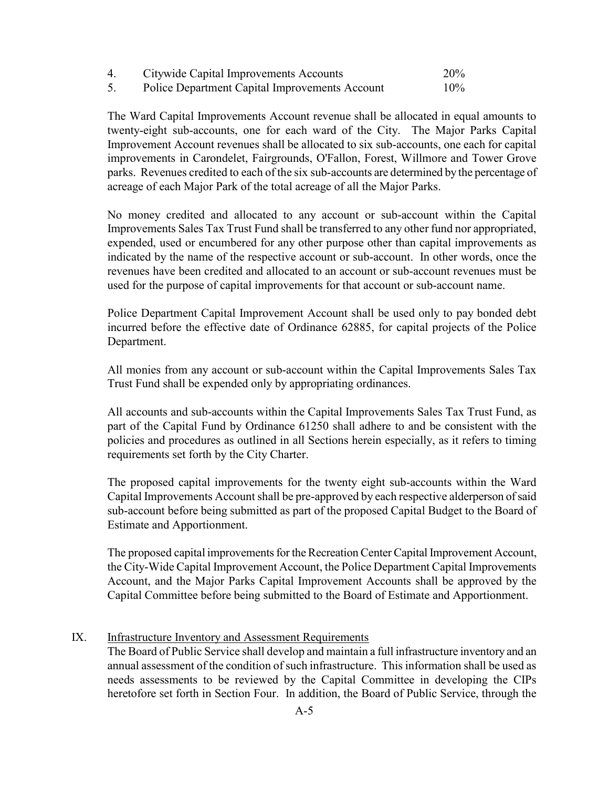| $\overline{4}$ | Citywide Capital Improvements Accounts                | 20%    |
|----------------|-------------------------------------------------------|--------|
|                | <b>Police Department Capital Improvements Account</b> | $10\%$ |

The Ward Capital Improvements Account revenue shall be allocated in equal amounts to twenty-eight sub-accounts, one for each ward of the City. The Major Parks Capital Improvement Account revenues shall be allocated to six sub-accounts, one each for capital improvements in Carondelet, Fairgrounds, O'Fallon, Forest, Willmore and Tower Grove parks. Revenues credited to each of the six sub-accounts are determined by the percentage of acreage of each Major Park of the total acreage of all the Major Parks.

No money credited and allocated to any account or sub-account within the Capital Improvements Sales Tax Trust Fund shall be transferred to any other fund nor appropriated, expended, used or encumbered for any other purpose other than capital improvements as indicated by the name of the respective account or sub-account. In other words, once the revenues have been credited and allocated to an account or sub-account revenues must be used for the purpose of capital improvements for that account or sub-account name.

Police Department Capital Improvement Account shall be used only to pay bonded debt incurred before the effective date of Ordinance 62885, for capital projects of the Police Department.

All monies from any account or sub-account within the Capital Improvements Sales Tax Trust Fund shall be expended only by appropriating ordinances.

All accounts and sub-accounts within the Capital Improvements Sales Tax Trust Fund, as part of the Capital Fund by Ordinance 61250 shall adhere to and be consistent with the policies and procedures as outlined in all Sections herein especially, as it refers to timing requirements set forth by the City Charter.

The proposed capital improvements for the twenty eight sub-accounts within the Ward Capital Improvements Account shall be pre-approved by each respective alderperson of said sub-account before being submitted as part of the proposed Capital Budget to the Board of Estimate and Apportionment.

The proposed capital improvements for the Recreation Center Capital Improvement Account, the City-Wide Capital Improvement Account, the Police Department Capital Improvements Account, and the Major Parks Capital Improvement Accounts shall be approved by the Capital Committee before being submitted to the Board of Estimate and Apportionment.

IX. Infrastructure Inventory and Assessment Requirements

The Board of Public Service shall develop and maintain a full infrastructure inventory and an annual assessment of the condition of such infrastructure. This information shall be used as needs assessments to be reviewed by the Capital Committee in developing the CIPs heretofore set forth in Section Four. In addition, the Board of Public Service, through the